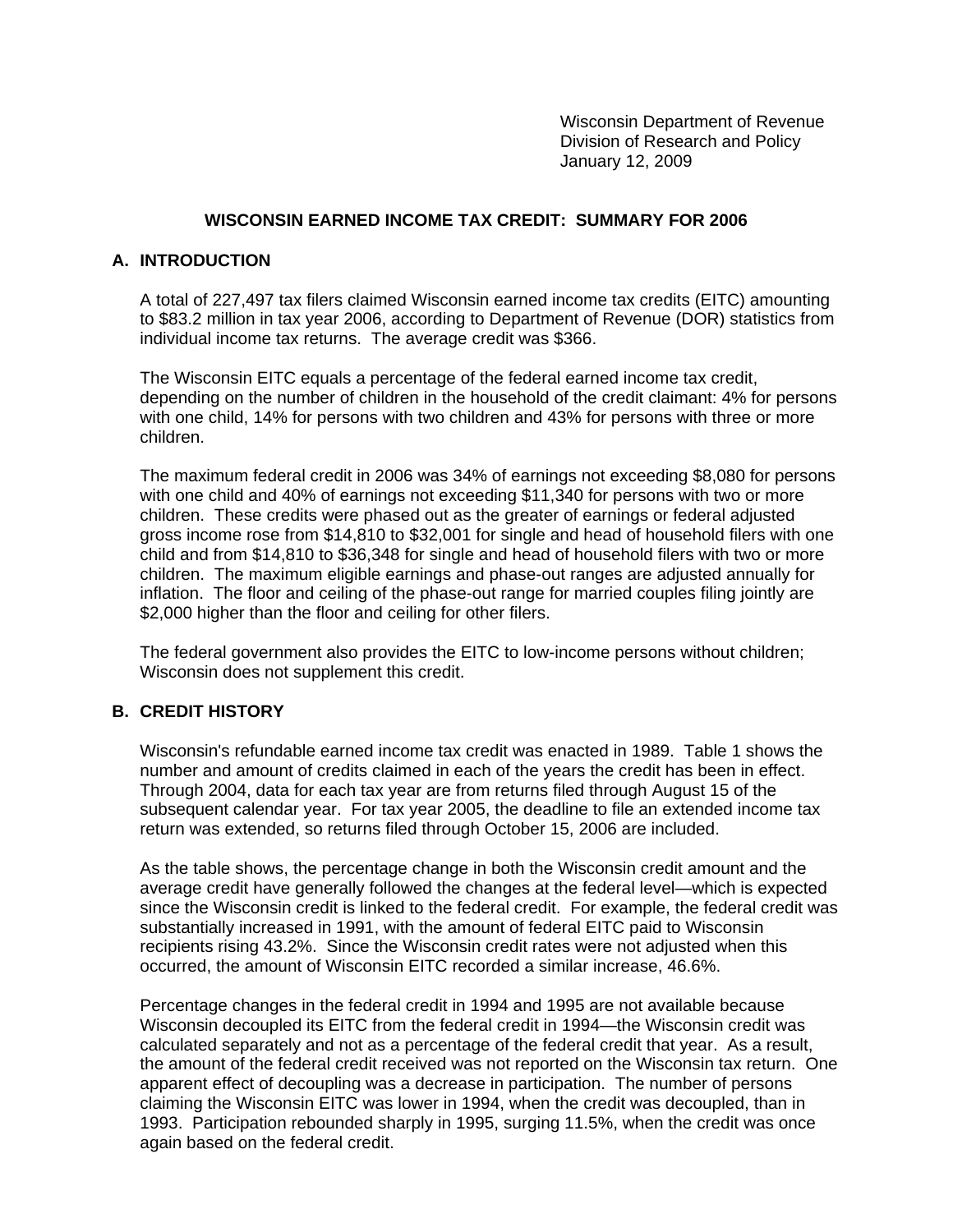Wisconsin Department of Revenue Division of Research and Policy January 12, 2009

### **WISCONSIN EARNED INCOME TAX CREDIT: SUMMARY FOR 2006**

#### **A. INTRODUCTION**

A total of 227,497 tax filers claimed Wisconsin earned income tax credits (EITC) amounting to \$83.2 million in tax year 2006, according to Department of Revenue (DOR) statistics from individual income tax returns. The average credit was \$366.

The Wisconsin EITC equals a percentage of the federal earned income tax credit, depending on the number of children in the household of the credit claimant: 4% for persons with one child, 14% for persons with two children and 43% for persons with three or more children.

The maximum federal credit in 2006 was 34% of earnings not exceeding \$8,080 for persons with one child and 40% of earnings not exceeding \$11,340 for persons with two or more children. These credits were phased out as the greater of earnings or federal adjusted gross income rose from \$14,810 to \$32,001 for single and head of household filers with one child and from \$14,810 to \$36,348 for single and head of household filers with two or more children. The maximum eligible earnings and phase-out ranges are adjusted annually for inflation. The floor and ceiling of the phase-out range for married couples filing jointly are \$2,000 higher than the floor and ceiling for other filers.

The federal government also provides the EITC to low-income persons without children; Wisconsin does not supplement this credit.

#### **B. CREDIT HISTORY**

Wisconsin's refundable earned income tax credit was enacted in 1989. Table 1 shows the number and amount of credits claimed in each of the years the credit has been in effect. Through 2004, data for each tax year are from returns filed through August 15 of the subsequent calendar year. For tax year 2005, the deadline to file an extended income tax return was extended, so returns filed through October 15, 2006 are included.

As the table shows, the percentage change in both the Wisconsin credit amount and the average credit have generally followed the changes at the federal level—which is expected since the Wisconsin credit is linked to the federal credit. For example, the federal credit was substantially increased in 1991, with the amount of federal EITC paid to Wisconsin recipients rising 43.2%. Since the Wisconsin credit rates were not adjusted when this occurred, the amount of Wisconsin EITC recorded a similar increase, 46.6%.

Percentage changes in the federal credit in 1994 and 1995 are not available because Wisconsin decoupled its EITC from the federal credit in 1994—the Wisconsin credit was calculated separately and not as a percentage of the federal credit that year. As a result, the amount of the federal credit received was not reported on the Wisconsin tax return. One apparent effect of decoupling was a decrease in participation. The number of persons claiming the Wisconsin EITC was lower in 1994, when the credit was decoupled, than in 1993. Participation rebounded sharply in 1995, surging 11.5%, when the credit was once again based on the federal credit.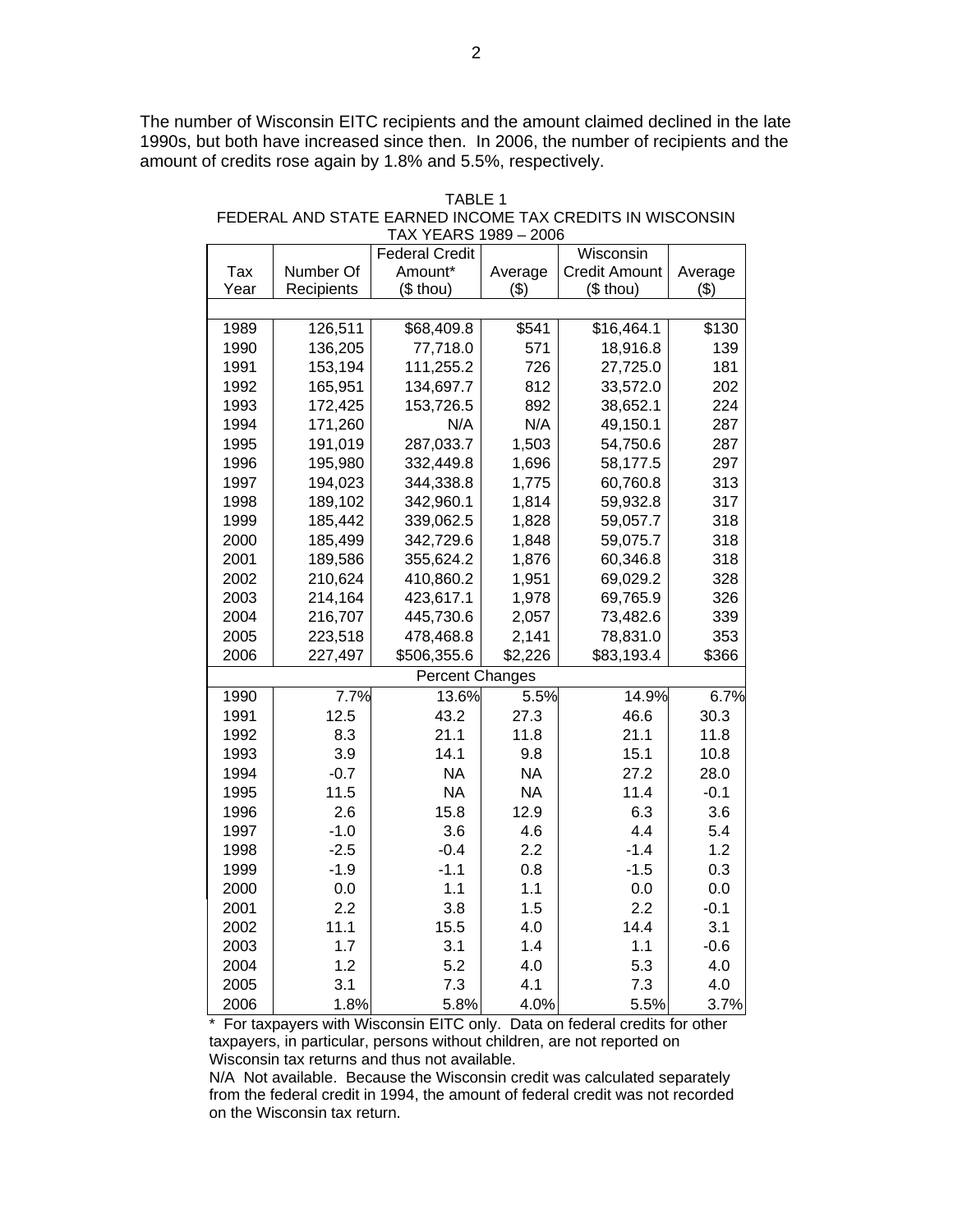The number of Wisconsin EITC recipients and the amount claimed declined in the late 1990s, but both have increased since then. In 2006, the number of recipients and the amount of credits rose again by 1.8% and 5.5%, respectively.

| TARI F 1                                                  |
|-----------------------------------------------------------|
| FEDERAL AND STATE EARNED INCOME TAX CREDITS IN WISCONSIN. |
| TAX YEARS 1989 - 2006                                     |

| <b>Federal Credit</b><br>Wisconsin<br>Amount*<br><b>Credit Amount</b><br>Tax<br>Number Of<br>Average<br>Average<br>Year<br>Recipients<br>$($$ thou)<br>(3)<br>(\$ thou)<br>(3)<br>126,511<br>\$68,409.8<br>\$541<br>\$16,464.1<br>\$130<br>1989<br>1990<br>139<br>136,205<br>77,718.0<br>571<br>18,916.8<br>726<br>181<br>1991<br>153,194<br>111,255.2<br>27,725.0<br>1992<br>134,697.7<br>812<br>202<br>165,951<br>33,572.0<br>1993<br>172,425<br>153,726.5<br>892<br>38,652.1<br>224<br>N/A<br>1994<br>171,260<br>N/A<br>49,150.1<br>287<br>287,033.7<br>1,503<br>54,750.6<br>287<br>1995<br>191,019<br>332,449.8<br>297<br>1996<br>195,980<br>1,696<br>58,177.5<br>1997<br>313<br>344,338.8<br>194,023<br>1,775<br>60,760.8<br>317<br>1998<br>189,102<br>342,960.1<br>1,814<br>59,932.8<br>1999<br>318<br>185,442<br>339,062.5<br>1,828<br>59,057.7<br>2000<br>59,075.7<br>318<br>185,499<br>342,729.6<br>1,848<br>318<br>2001<br>189,586<br>355,624.2<br>1,876<br>60,346.8<br>328<br>2002<br>210,624<br>410,860.2<br>1,951<br>69,029.2<br>326<br>2003<br>214,164<br>423,617.1<br>1,978<br>69,765.9<br>2004<br>339<br>216,707<br>445,730.6<br>2,057<br>73,482.6<br>2005<br>353<br>223,518<br>478,468.8<br>2,141<br>78,831.0<br>2006<br>\$366<br>227,497<br>\$506,355.6<br>\$2,226<br>\$83,193.4<br><b>Percent Changes</b><br>7.7%<br>14.9%<br>1990<br>13.6%<br>5.5%<br>6.7%<br>12.5<br>43.2<br>46.6<br>30.3<br>1991<br>27.3<br>1992<br>8.3<br>21.1<br>11.8<br>21.1<br>11.8<br>1993<br>3.9<br>14.1<br>9.8<br>15.1<br>10.8<br>1994<br>$-0.7$<br><b>NA</b><br><b>NA</b><br>27.2<br>28.0 |
|-----------------------------------------------------------------------------------------------------------------------------------------------------------------------------------------------------------------------------------------------------------------------------------------------------------------------------------------------------------------------------------------------------------------------------------------------------------------------------------------------------------------------------------------------------------------------------------------------------------------------------------------------------------------------------------------------------------------------------------------------------------------------------------------------------------------------------------------------------------------------------------------------------------------------------------------------------------------------------------------------------------------------------------------------------------------------------------------------------------------------------------------------------------------------------------------------------------------------------------------------------------------------------------------------------------------------------------------------------------------------------------------------------------------------------------------------------------------------------------------------------------------------------------------------------------------------------------------|
|                                                                                                                                                                                                                                                                                                                                                                                                                                                                                                                                                                                                                                                                                                                                                                                                                                                                                                                                                                                                                                                                                                                                                                                                                                                                                                                                                                                                                                                                                                                                                                                         |
|                                                                                                                                                                                                                                                                                                                                                                                                                                                                                                                                                                                                                                                                                                                                                                                                                                                                                                                                                                                                                                                                                                                                                                                                                                                                                                                                                                                                                                                                                                                                                                                         |
|                                                                                                                                                                                                                                                                                                                                                                                                                                                                                                                                                                                                                                                                                                                                                                                                                                                                                                                                                                                                                                                                                                                                                                                                                                                                                                                                                                                                                                                                                                                                                                                         |
|                                                                                                                                                                                                                                                                                                                                                                                                                                                                                                                                                                                                                                                                                                                                                                                                                                                                                                                                                                                                                                                                                                                                                                                                                                                                                                                                                                                                                                                                                                                                                                                         |
|                                                                                                                                                                                                                                                                                                                                                                                                                                                                                                                                                                                                                                                                                                                                                                                                                                                                                                                                                                                                                                                                                                                                                                                                                                                                                                                                                                                                                                                                                                                                                                                         |
|                                                                                                                                                                                                                                                                                                                                                                                                                                                                                                                                                                                                                                                                                                                                                                                                                                                                                                                                                                                                                                                                                                                                                                                                                                                                                                                                                                                                                                                                                                                                                                                         |
|                                                                                                                                                                                                                                                                                                                                                                                                                                                                                                                                                                                                                                                                                                                                                                                                                                                                                                                                                                                                                                                                                                                                                                                                                                                                                                                                                                                                                                                                                                                                                                                         |
|                                                                                                                                                                                                                                                                                                                                                                                                                                                                                                                                                                                                                                                                                                                                                                                                                                                                                                                                                                                                                                                                                                                                                                                                                                                                                                                                                                                                                                                                                                                                                                                         |
|                                                                                                                                                                                                                                                                                                                                                                                                                                                                                                                                                                                                                                                                                                                                                                                                                                                                                                                                                                                                                                                                                                                                                                                                                                                                                                                                                                                                                                                                                                                                                                                         |
|                                                                                                                                                                                                                                                                                                                                                                                                                                                                                                                                                                                                                                                                                                                                                                                                                                                                                                                                                                                                                                                                                                                                                                                                                                                                                                                                                                                                                                                                                                                                                                                         |
|                                                                                                                                                                                                                                                                                                                                                                                                                                                                                                                                                                                                                                                                                                                                                                                                                                                                                                                                                                                                                                                                                                                                                                                                                                                                                                                                                                                                                                                                                                                                                                                         |
|                                                                                                                                                                                                                                                                                                                                                                                                                                                                                                                                                                                                                                                                                                                                                                                                                                                                                                                                                                                                                                                                                                                                                                                                                                                                                                                                                                                                                                                                                                                                                                                         |
|                                                                                                                                                                                                                                                                                                                                                                                                                                                                                                                                                                                                                                                                                                                                                                                                                                                                                                                                                                                                                                                                                                                                                                                                                                                                                                                                                                                                                                                                                                                                                                                         |
|                                                                                                                                                                                                                                                                                                                                                                                                                                                                                                                                                                                                                                                                                                                                                                                                                                                                                                                                                                                                                                                                                                                                                                                                                                                                                                                                                                                                                                                                                                                                                                                         |
|                                                                                                                                                                                                                                                                                                                                                                                                                                                                                                                                                                                                                                                                                                                                                                                                                                                                                                                                                                                                                                                                                                                                                                                                                                                                                                                                                                                                                                                                                                                                                                                         |
|                                                                                                                                                                                                                                                                                                                                                                                                                                                                                                                                                                                                                                                                                                                                                                                                                                                                                                                                                                                                                                                                                                                                                                                                                                                                                                                                                                                                                                                                                                                                                                                         |
|                                                                                                                                                                                                                                                                                                                                                                                                                                                                                                                                                                                                                                                                                                                                                                                                                                                                                                                                                                                                                                                                                                                                                                                                                                                                                                                                                                                                                                                                                                                                                                                         |
|                                                                                                                                                                                                                                                                                                                                                                                                                                                                                                                                                                                                                                                                                                                                                                                                                                                                                                                                                                                                                                                                                                                                                                                                                                                                                                                                                                                                                                                                                                                                                                                         |
|                                                                                                                                                                                                                                                                                                                                                                                                                                                                                                                                                                                                                                                                                                                                                                                                                                                                                                                                                                                                                                                                                                                                                                                                                                                                                                                                                                                                                                                                                                                                                                                         |
|                                                                                                                                                                                                                                                                                                                                                                                                                                                                                                                                                                                                                                                                                                                                                                                                                                                                                                                                                                                                                                                                                                                                                                                                                                                                                                                                                                                                                                                                                                                                                                                         |
|                                                                                                                                                                                                                                                                                                                                                                                                                                                                                                                                                                                                                                                                                                                                                                                                                                                                                                                                                                                                                                                                                                                                                                                                                                                                                                                                                                                                                                                                                                                                                                                         |
|                                                                                                                                                                                                                                                                                                                                                                                                                                                                                                                                                                                                                                                                                                                                                                                                                                                                                                                                                                                                                                                                                                                                                                                                                                                                                                                                                                                                                                                                                                                                                                                         |
|                                                                                                                                                                                                                                                                                                                                                                                                                                                                                                                                                                                                                                                                                                                                                                                                                                                                                                                                                                                                                                                                                                                                                                                                                                                                                                                                                                                                                                                                                                                                                                                         |
|                                                                                                                                                                                                                                                                                                                                                                                                                                                                                                                                                                                                                                                                                                                                                                                                                                                                                                                                                                                                                                                                                                                                                                                                                                                                                                                                                                                                                                                                                                                                                                                         |
|                                                                                                                                                                                                                                                                                                                                                                                                                                                                                                                                                                                                                                                                                                                                                                                                                                                                                                                                                                                                                                                                                                                                                                                                                                                                                                                                                                                                                                                                                                                                                                                         |
|                                                                                                                                                                                                                                                                                                                                                                                                                                                                                                                                                                                                                                                                                                                                                                                                                                                                                                                                                                                                                                                                                                                                                                                                                                                                                                                                                                                                                                                                                                                                                                                         |
|                                                                                                                                                                                                                                                                                                                                                                                                                                                                                                                                                                                                                                                                                                                                                                                                                                                                                                                                                                                                                                                                                                                                                                                                                                                                                                                                                                                                                                                                                                                                                                                         |
|                                                                                                                                                                                                                                                                                                                                                                                                                                                                                                                                                                                                                                                                                                                                                                                                                                                                                                                                                                                                                                                                                                                                                                                                                                                                                                                                                                                                                                                                                                                                                                                         |
| <b>NA</b><br><b>NA</b><br>1995<br>11.5<br>11.4<br>$-0.1$                                                                                                                                                                                                                                                                                                                                                                                                                                                                                                                                                                                                                                                                                                                                                                                                                                                                                                                                                                                                                                                                                                                                                                                                                                                                                                                                                                                                                                                                                                                                |
| 12.9<br>1996<br>2.6<br>15.8<br>6.3<br>3.6                                                                                                                                                                                                                                                                                                                                                                                                                                                                                                                                                                                                                                                                                                                                                                                                                                                                                                                                                                                                                                                                                                                                                                                                                                                                                                                                                                                                                                                                                                                                               |
| 1997<br>3.6<br>4.4<br>5.4<br>$-1.0$<br>4.6                                                                                                                                                                                                                                                                                                                                                                                                                                                                                                                                                                                                                                                                                                                                                                                                                                                                                                                                                                                                                                                                                                                                                                                                                                                                                                                                                                                                                                                                                                                                              |
| 1998<br>$-2.5$<br>$-0.4$<br>2.2<br>$-1.4$<br>1.2                                                                                                                                                                                                                                                                                                                                                                                                                                                                                                                                                                                                                                                                                                                                                                                                                                                                                                                                                                                                                                                                                                                                                                                                                                                                                                                                                                                                                                                                                                                                        |
| 1999<br>$-1.9$<br>$-1.1$<br>$-1.5$<br>0.3<br>0.8                                                                                                                                                                                                                                                                                                                                                                                                                                                                                                                                                                                                                                                                                                                                                                                                                                                                                                                                                                                                                                                                                                                                                                                                                                                                                                                                                                                                                                                                                                                                        |
| 1.1<br>2000<br>0.0<br>1.1<br>0.0<br>0.0                                                                                                                                                                                                                                                                                                                                                                                                                                                                                                                                                                                                                                                                                                                                                                                                                                                                                                                                                                                                                                                                                                                                                                                                                                                                                                                                                                                                                                                                                                                                                 |
| 2.2<br>3.8<br>1.5<br>2.2<br>$-0.1$<br>2001                                                                                                                                                                                                                                                                                                                                                                                                                                                                                                                                                                                                                                                                                                                                                                                                                                                                                                                                                                                                                                                                                                                                                                                                                                                                                                                                                                                                                                                                                                                                              |
| 11.1<br>14.4<br>2002<br>15.5<br>4.0<br>3.1                                                                                                                                                                                                                                                                                                                                                                                                                                                                                                                                                                                                                                                                                                                                                                                                                                                                                                                                                                                                                                                                                                                                                                                                                                                                                                                                                                                                                                                                                                                                              |
| 1.7<br>2003<br>3.1<br>1.4<br>1.1<br>$-0.6$                                                                                                                                                                                                                                                                                                                                                                                                                                                                                                                                                                                                                                                                                                                                                                                                                                                                                                                                                                                                                                                                                                                                                                                                                                                                                                                                                                                                                                                                                                                                              |
| 1.2<br>5.2<br>5.3<br>2004<br>4.0<br>4.0                                                                                                                                                                                                                                                                                                                                                                                                                                                                                                                                                                                                                                                                                                                                                                                                                                                                                                                                                                                                                                                                                                                                                                                                                                                                                                                                                                                                                                                                                                                                                 |
| 2005<br>3.1<br>7.3<br>4.1<br>7.3<br>4.0                                                                                                                                                                                                                                                                                                                                                                                                                                                                                                                                                                                                                                                                                                                                                                                                                                                                                                                                                                                                                                                                                                                                                                                                                                                                                                                                                                                                                                                                                                                                                 |
| 2006<br>1.8%<br>5.8%<br>4.0%<br>5.5%<br>3.7%                                                                                                                                                                                                                                                                                                                                                                                                                                                                                                                                                                                                                                                                                                                                                                                                                                                                                                                                                                                                                                                                                                                                                                                                                                                                                                                                                                                                                                                                                                                                            |

\* For taxpayers with Wisconsin EITC only. Data on federal credits for other taxpayers, in particular, persons without children, are not reported on Wisconsin tax returns and thus not available.

N/A Not available. Because the Wisconsin credit was calculated separately from the federal credit in 1994, the amount of federal credit was not recorded on the Wisconsin tax return.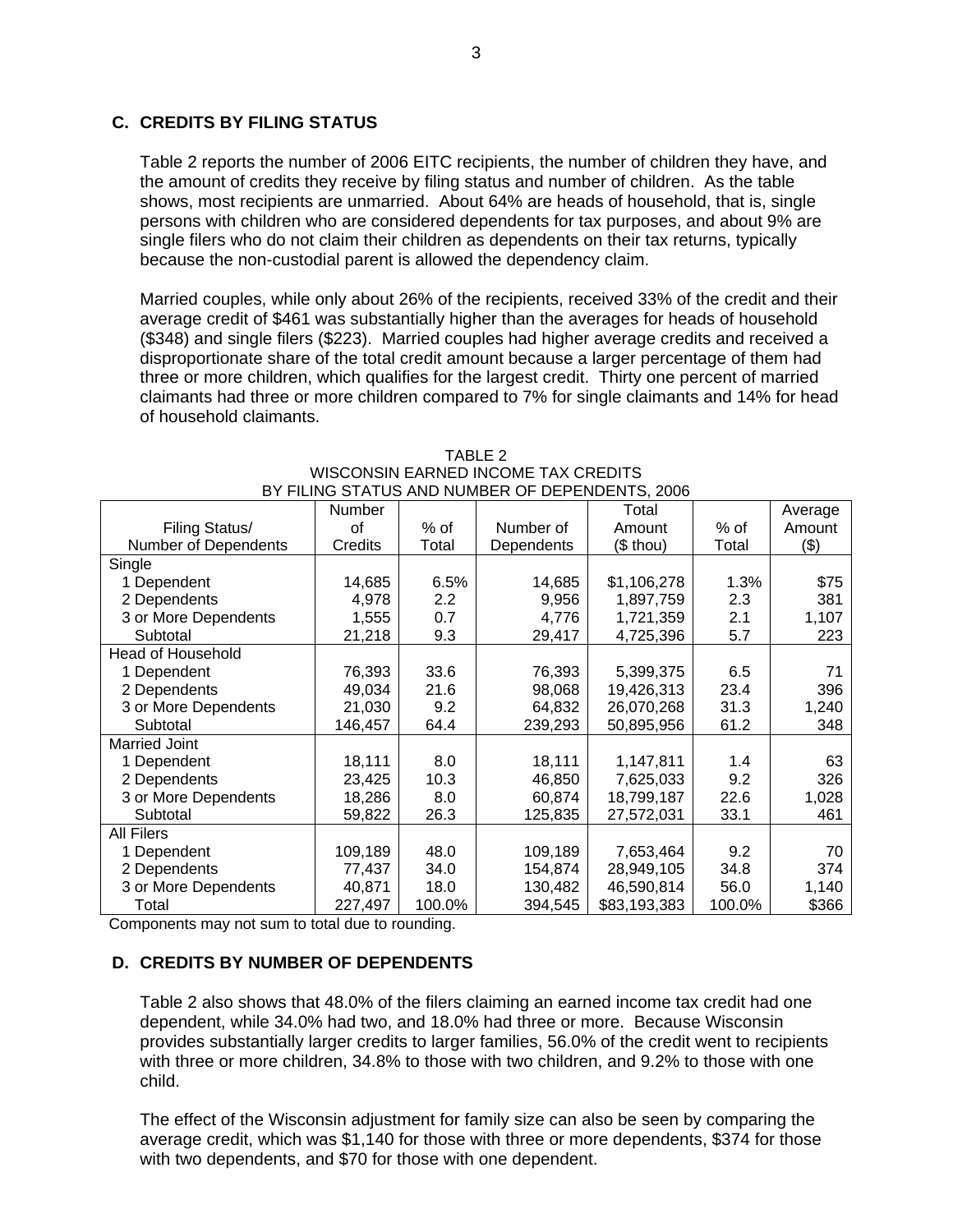# **C. CREDITS BY FILING STATUS**

Table 2 reports the number of 2006 EITC recipients, the number of children they have, and the amount of credits they receive by filing status and number of children. As the table shows, most recipients are unmarried. About 64% are heads of household, that is, single persons with children who are considered dependents for tax purposes, and about 9% are single filers who do not claim their children as dependents on their tax returns, typically because the non-custodial parent is allowed the dependency claim.

Married couples, while only about 26% of the recipients, received 33% of the credit and their average credit of \$461 was substantially higher than the averages for heads of household (\$348) and single filers (\$223). Married couples had higher average credits and received a disproportionate share of the total credit amount because a larger percentage of them had three or more children, which qualifies for the largest credit. Thirty one percent of married claimants had three or more children compared to 7% for single claimants and 14% for head of household claimants.

| BY FILING STATUS AND NUMBER OF DEPENDENTS, 2006 |         |         |            |              |        |         |
|-------------------------------------------------|---------|---------|------------|--------------|--------|---------|
|                                                 | Number  |         |            | Total        |        | Average |
| Filing Status/                                  | οf      | $%$ of  | Number of  | Amount       | $%$ of | Amount  |
| Number of Dependents                            | Credits | Total   | Dependents | (\$ thou)    | Total  | (3)     |
| Single                                          |         |         |            |              |        |         |
| 1 Dependent                                     | 14,685  | 6.5%    | 14,685     | \$1,106,278  | 1.3%   | \$75    |
| 2 Dependents                                    | 4,978   | $2.2\,$ | 9,956      | 1,897,759    | 2.3    | 381     |
| 3 or More Dependents                            | 1,555   | 0.7     | 4,776      | 1,721,359    | 2.1    | 1,107   |
| Subtotal                                        | 21,218  | 9.3     | 29,417     | 4,725,396    | 5.7    | 223     |
| <b>Head of Household</b>                        |         |         |            |              |        |         |
| 1 Dependent                                     | 76,393  | 33.6    | 76,393     | 5,399,375    | 6.5    | 71      |
| 2 Dependents                                    | 49,034  | 21.6    | 98,068     | 19,426,313   | 23.4   | 396     |
| 3 or More Dependents                            | 21,030  | 9.2     | 64,832     | 26,070,268   | 31.3   | 1,240   |
| Subtotal                                        | 146,457 | 64.4    | 239,293    | 50,895,956   | 61.2   | 348     |
| <b>Married Joint</b>                            |         |         |            |              |        |         |
| 1 Dependent                                     | 18,111  | 8.0     | 18,111     | 1,147,811    | 1.4    | 63      |
| 2 Dependents                                    | 23,425  | 10.3    | 46,850     | 7,625,033    | 9.2    | 326     |
| 3 or More Dependents                            | 18,286  | 8.0     | 60,874     | 18,799,187   | 22.6   | 1,028   |
| Subtotal                                        | 59,822  | 26.3    | 125,835    | 27,572,031   | 33.1   | 461     |
| <b>All Filers</b>                               |         |         |            |              |        |         |
| 1 Dependent                                     | 109,189 | 48.0    | 109,189    | 7,653,464    | 9.2    | 70      |
| 2 Dependents                                    | 77,437  | 34.0    | 154,874    | 28,949,105   | 34.8   | 374     |
| 3 or More Dependents                            | 40,871  | 18.0    | 130,482    | 46,590,814   | 56.0   | 1,140   |
| Total                                           | 227,497 | 100.0%  | 394,545    | \$83,193,383 | 100.0% | \$366   |

TABLE 2 WISCONSIN EARNED INCOME TAX CREDITS BY FILING STATUS AND NUMBER OF DEPENDENTS, 2006

Components may not sum to total due to rounding.

# **D. CREDITS BY NUMBER OF DEPENDENTS**

Table 2 also shows that 48.0% of the filers claiming an earned income tax credit had one dependent, while 34.0% had two, and 18.0% had three or more. Because Wisconsin provides substantially larger credits to larger families, 56.0% of the credit went to recipients with three or more children, 34.8% to those with two children, and 9.2% to those with one child.

The effect of the Wisconsin adjustment for family size can also be seen by comparing the average credit, which was \$1,140 for those with three or more dependents, \$374 for those with two dependents, and \$70 for those with one dependent.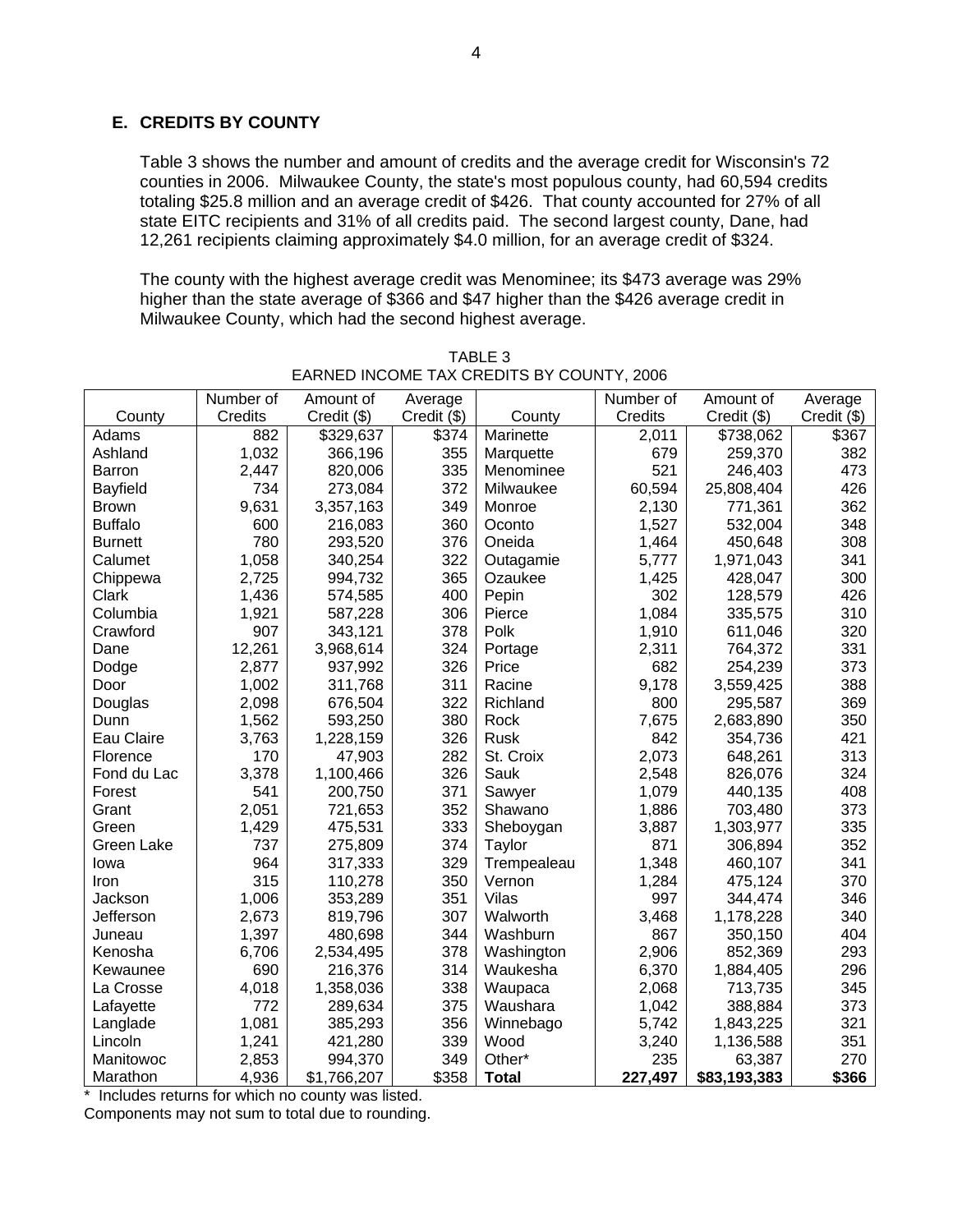# **E. CREDITS BY COUNTY**

Table 3 shows the number and amount of credits and the average credit for Wisconsin's 72 counties in 2006. Milwaukee County, the state's most populous county, had 60,594 credits totaling \$25.8 million and an average credit of \$426. That county accounted for 27% of all state EITC recipients and 31% of all credits paid. The second largest county, Dane, had 12,261 recipients claiming approximately \$4.0 million, for an average credit of \$324.

The county with the highest average credit was Menominee; its \$473 average was 29% higher than the state average of \$366 and \$47 higher than the \$426 average credit in Milwaukee County, which had the second highest average.

|                 | Number of | Amount of   | Average     |              | Number of | Amount of    | Average     |
|-----------------|-----------|-------------|-------------|--------------|-----------|--------------|-------------|
| County          | Credits   | Credit (\$) | Credit (\$) | County       | Credits   | Credit (\$)  | Credit (\$) |
| Adams           | 882       | \$329,637   | \$374       | Marinette    | 2,011     | \$738,062    | \$367       |
| Ashland         | 1,032     | 366,196     | 355         | Marquette    | 679       | 259,370      | 382         |
| <b>Barron</b>   | 2,447     | 820,006     | 335         | Menominee    | 521       | 246,403      | 473         |
| <b>Bayfield</b> | 734       | 273,084     | 372         | Milwaukee    | 60,594    | 25,808,404   | 426         |
| <b>Brown</b>    | 9,631     | 3,357,163   | 349         | Monroe       | 2,130     | 771,361      | 362         |
| <b>Buffalo</b>  | 600       | 216,083     | 360         | Oconto       | 1,527     | 532,004      | 348         |
| <b>Burnett</b>  | 780       | 293,520     | 376         | Oneida       | 1,464     | 450,648      | 308         |
| Calumet         | 1,058     | 340,254     | 322         | Outagamie    | 5,777     | 1,971,043    | 341         |
| Chippewa        | 2,725     | 994,732     | 365         | Ozaukee      | 1,425     | 428,047      | 300         |
| Clark           | 1,436     | 574,585     | 400         | Pepin        | 302       | 128,579      | 426         |
| Columbia        | 1,921     | 587,228     | 306         | Pierce       | 1,084     | 335,575      | 310         |
| Crawford        | 907       | 343,121     | 378         | Polk         | 1,910     | 611,046      | 320         |
| Dane            | 12,261    | 3,968,614   | 324         | Portage      | 2,311     | 764,372      | 331         |
| Dodge           | 2,877     | 937,992     | 326         | Price        | 682       | 254,239      | 373         |
| Door            | 1,002     | 311,768     | 311         | Racine       | 9,178     | 3,559,425    | 388         |
| Douglas         | 2,098     | 676,504     | 322         | Richland     | 800       | 295,587      | 369         |
| Dunn            | 1,562     | 593,250     | 380         | Rock         | 7,675     | 2,683,890    | 350         |
| Eau Claire      | 3,763     | 1,228,159   | 326         | <b>Rusk</b>  | 842       | 354,736      | 421         |
| Florence        | 170       | 47,903      | 282         | St. Croix    | 2,073     | 648,261      | 313         |
| Fond du Lac     | 3,378     | 1,100,466   | 326         | Sauk         | 2,548     | 826,076      | 324         |
| Forest          | 541       | 200,750     | 371         | Sawyer       | 1,079     | 440,135      | 408         |
| Grant           | 2,051     | 721,653     | 352         | Shawano      | 1,886     | 703,480      | 373         |
| Green           | 1,429     | 475,531     | 333         | Sheboygan    | 3,887     | 1,303,977    | 335         |
| Green Lake      | 737       | 275,809     | 374         | Taylor       | 871       | 306,894      | 352         |
| lowa            | 964       | 317,333     | 329         | Trempealeau  | 1,348     | 460,107      | 341         |
| Iron            | 315       | 110,278     | 350         | Vernon       | 1,284     | 475,124      | 370         |
| Jackson         | 1,006     | 353,289     | 351         | Vilas        | 997       | 344,474      | 346         |
| Jefferson       | 2,673     | 819,796     | 307         | Walworth     | 3,468     | 1,178,228    | 340         |
| Juneau          | 1,397     | 480,698     | 344         | Washburn     | 867       | 350,150      | 404         |
| Kenosha         | 6,706     | 2,534,495   | 378         | Washington   | 2,906     | 852,369      | 293         |
| Kewaunee        | 690       | 216,376     | 314         | Waukesha     | 6,370     | 1,884,405    | 296         |
| La Crosse       | 4,018     | 1,358,036   | 338         | Waupaca      | 2,068     | 713,735      | 345         |
| Lafayette       | 772       | 289,634     | 375         | Waushara     | 1,042     | 388,884      | 373         |
| Langlade        | 1,081     | 385,293     | 356         | Winnebago    | 5,742     | 1,843,225    | 321         |
| Lincoln         | 1,241     | 421,280     | 339         | Wood         | 3,240     | 1,136,588    | 351         |
| Manitowoc       | 2,853     | 994,370     | 349         | Other*       | 235       | 63,387       | 270         |
| Marathon        | 4,936     | \$1,766,207 | \$358       | <b>Total</b> | 227,497   | \$83,193,383 | \$366       |

TABLE 3 EARNED INCOME TAX CREDITS BY COUNTY, 2006

\* Includes returns for which no county was listed.

Components may not sum to total due to rounding.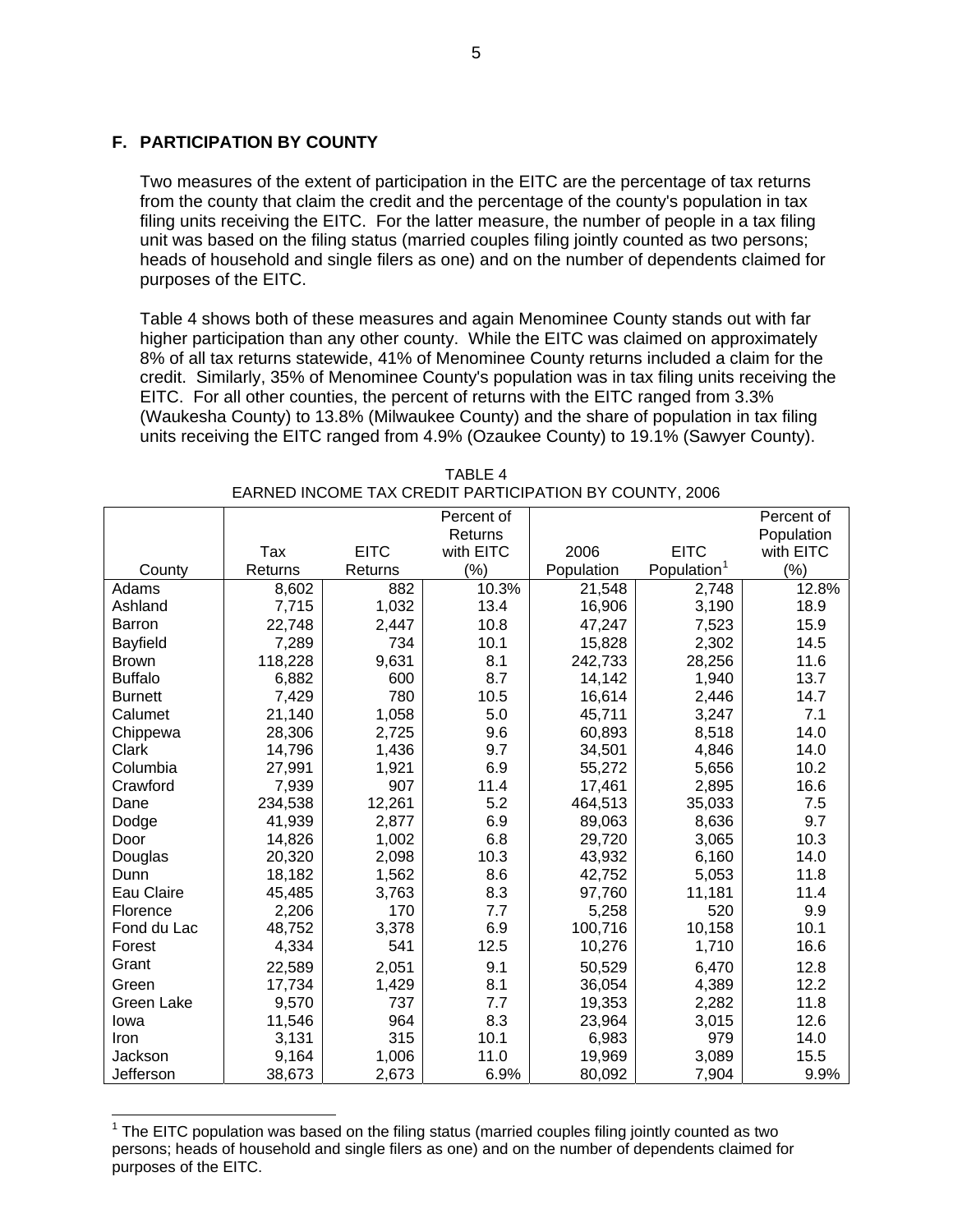## **F. PARTICIPATION BY COUNTY**

Two measures of the extent of participation in the EITC are the percentage of tax returns from the county that claim the credit and the percentage of the county's population in tax filing units receiving the EITC. For the latter measure, the number of people in a tax filing unit was based on the filing status (married couples filing jointly counted as two persons; heads of household and single filers as one) and on the number of dependents claimed for purposes of the EITC.

Table 4 shows both of these measures and again Menominee County stands out with far higher participation than any other county. While the EITC was claimed on approximately 8% of all tax returns statewide, 41% of Menominee County returns included a claim for the credit. Similarly, 35% of Menominee County's population was in tax filing units receiving the EITC. For all other counties, the percent of returns with the EITC ranged from 3.3% (Waukesha County) to 13.8% (Milwaukee County) and the share of population in tax filing units receiving the EITC ranged from 4.9% (Ozaukee County) to 19.1% (Sawyer County).

|                |         |             | Percent of |            |                         | Percent of |
|----------------|---------|-------------|------------|------------|-------------------------|------------|
|                |         |             | Returns    |            |                         | Population |
|                | Tax     | <b>EITC</b> | with EITC  | 2006       | <b>EITC</b>             | with EITC  |
| County         | Returns | Returns     | (%)        | Population | Population <sup>1</sup> | (%)        |
| Adams          | 8,602   | 882         | 10.3%      | 21,548     | 2,748                   | 12.8%      |
| Ashland        | 7,715   | 1,032       | 13.4       | 16,906     | 3,190                   | 18.9       |
| <b>Barron</b>  | 22,748  | 2,447       | 10.8       | 47,247     | 7,523                   | 15.9       |
| Bayfield       | 7,289   | 734         | 10.1       | 15,828     | 2,302                   | 14.5       |
| <b>Brown</b>   | 118,228 | 9,631       | 8.1        | 242,733    | 28,256                  | 11.6       |
| <b>Buffalo</b> | 6,882   | 600         | 8.7        | 14,142     | 1,940                   | 13.7       |
| <b>Burnett</b> | 7,429   | 780         | 10.5       | 16,614     | 2,446                   | 14.7       |
| Calumet        | 21,140  | 1,058       | 5.0        | 45,711     | 3,247                   | 7.1        |
| Chippewa       | 28,306  | 2,725       | 9.6        | 60,893     | 8,518                   | 14.0       |
| Clark          | 14,796  | 1,436       | 9.7        | 34,501     | 4,846                   | 14.0       |
| Columbia       | 27,991  | 1,921       | 6.9        | 55,272     | 5,656                   | 10.2       |
| Crawford       | 7,939   | 907         | 11.4       | 17,461     | 2,895                   | 16.6       |
| Dane           | 234,538 | 12,261      | 5.2        | 464,513    | 35,033                  | 7.5        |
| Dodge          | 41,939  | 2,877       | 6.9        | 89,063     | 8,636                   | 9.7        |
| Door           | 14,826  | 1,002       | 6.8        | 29,720     | 3,065                   | 10.3       |
| Douglas        | 20,320  | 2,098       | 10.3       | 43,932     | 6,160                   | 14.0       |
| Dunn           | 18,182  | 1,562       | 8.6        | 42,752     | 5,053                   | 11.8       |
| Eau Claire     | 45,485  | 3,763       | 8.3        | 97,760     | 11,181                  | 11.4       |
| Florence       | 2,206   | 170         | 7.7        | 5,258      | 520                     | 9.9        |
| Fond du Lac    | 48,752  | 3,378       | 6.9        | 100,716    | 10,158                  | 10.1       |
| Forest         | 4,334   | 541         | 12.5       | 10,276     | 1,710                   | 16.6       |
| Grant          | 22,589  | 2,051       | 9.1        | 50,529     | 6,470                   | 12.8       |
| Green          | 17,734  | 1,429       | 8.1        | 36,054     | 4,389                   | 12.2       |
| Green Lake     | 9,570   | 737         | 7.7        | 19,353     | 2,282                   | 11.8       |
| Iowa           | 11,546  | 964         | 8.3        | 23,964     | 3,015                   | 12.6       |
| <b>Iron</b>    | 3,131   | 315         | 10.1       | 6,983      | 979                     | 14.0       |
| Jackson        | 9,164   | 1,006       | 11.0       | 19,969     | 3,089                   | 15.5       |
| Jefferson      | 38,673  | 2,673       | 6.9%       | 80,092     | 7,904                   | 9.9%       |

TABLE 4 EARNED INCOME TAX CREDIT PARTICIPATION BY COUNTY, 2006

<span id="page-4-0"></span> $1$  The EITC population was based on the filing status (married couples filing jointly counted as two persons; heads of household and single filers as one) and on the number of dependents claimed for purposes of the EITC.